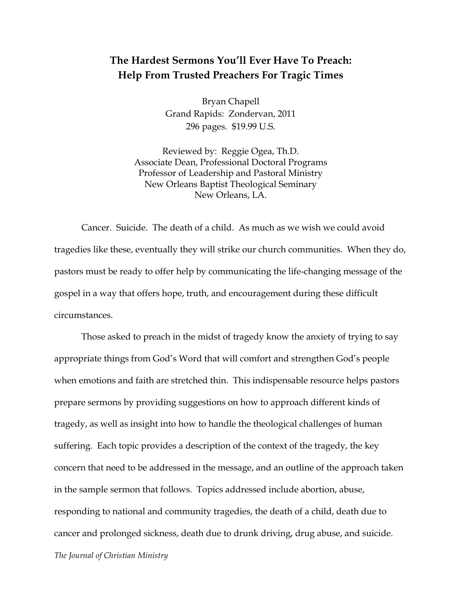## **The Hardest Sermons You'll Ever Have To Preach: Help From Trusted Preachers For Tragic Times**

Bryan Chapell Grand Rapids: Zondervan, 2011 296 pages. \$19.99 U.S.

Reviewed by: Reggie Ogea, Th.D. Associate Dean, Professional Doctoral Programs Professor of Leadership and Pastoral Ministry New Orleans Baptist Theological Seminary New Orleans, LA.

Cancer. Suicide. The death of a child. As much as we wish we could avoid tragedies like these, eventually they will strike our church communities. When they do, pastors must be ready to offer help by communicating the life-changing message of the gospel in a way that offers hope, truth, and encouragement during these difficult circumstances.

Those asked to preach in the midst of tragedy know the anxiety of trying to say appropriate things from God's Word that will comfort and strengthen God's people when emotions and faith are stretched thin. This indispensable resource helps pastors prepare sermons by providing suggestions on how to approach different kinds of tragedy, as well as insight into how to handle the theological challenges of human suffering. Each topic provides a description of the context of the tragedy, the key concern that need to be addressed in the message, and an outline of the approach taken in the sample sermon that follows. Topics addressed include abortion, abuse, responding to national and community tragedies, the death of a child, death due to cancer and prolonged sickness, death due to drunk driving, drug abuse, and suicide.

*The Journal of Christian Ministry*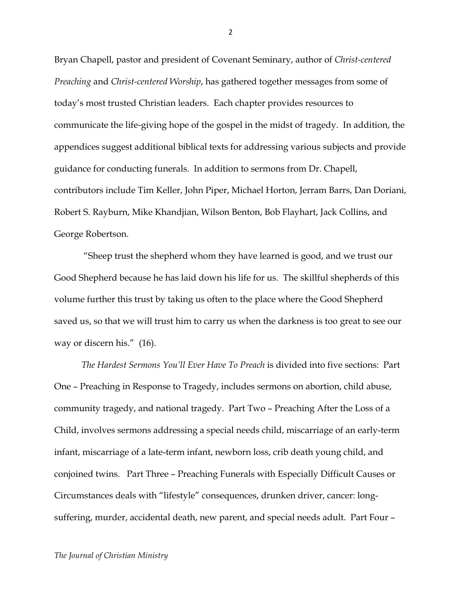Bryan Chapell, pastor and president of Covenant Seminary, author of *Christ-centered Preaching* and *Christ-centered Worship*, has gathered together messages from some of today's most trusted Christian leaders. Each chapter provides resources to communicate the life-giving hope of the gospel in the midst of tragedy. In addition, the appendices suggest additional biblical texts for addressing various subjects and provide guidance for conducting funerals. In addition to sermons from Dr. Chapell, contributors include Tim Keller, John Piper, Michael Horton, Jerram Barrs, Dan Doriani, Robert S. Rayburn, Mike Khandjian, Wilson Benton, Bob Flayhart, Jack Collins, and George Robertson.

"Sheep trust the shepherd whom they have learned is good, and we trust our Good Shepherd because he has laid down his life for us. The skillful shepherds of this volume further this trust by taking us often to the place where the Good Shepherd saved us, so that we will trust him to carry us when the darkness is too great to see our way or discern his." (16).

*The Hardest Sermons You'll Ever Have To Preach* is divided into five sections: Part One – Preaching in Response to Tragedy, includes sermons on abortion, child abuse, community tragedy, and national tragedy. Part Two – Preaching After the Loss of a Child, involves sermons addressing a special needs child, miscarriage of an early-term infant, miscarriage of a late-term infant, newborn loss, crib death young child, and conjoined twins. Part Three – Preaching Funerals with Especially Difficult Causes or Circumstances deals with "lifestyle" consequences, drunken driver, cancer: longsuffering, murder, accidental death, new parent, and special needs adult. Part Four –

2